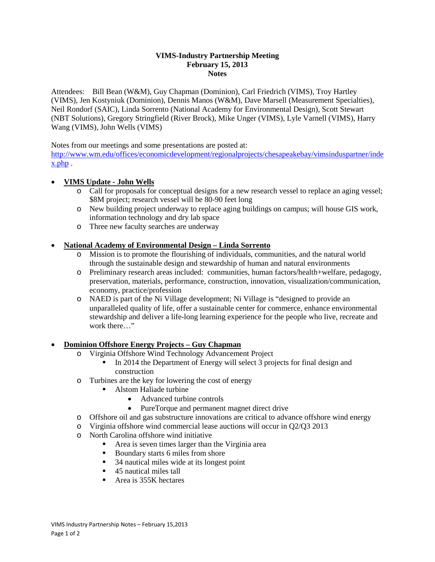#### **VIMS-Industry Partnership Meeting February 15, 2013 Notes**

Attendees: Bill Bean (W&M), Guy Chapman (Dominion), Carl Friedrich (VIMS), Troy Hartley (VIMS), Jen Kostyniuk (Dominion), Dennis Manos (W&M), Dave Marsell (Measurement Specialties), Neil Rondorf (SAIC), Linda Sorrento (National Academy for Environmental Design), Scott Stewart (NBT Solutions), Gregory Stringfield (River Brock), Mike Unger (VIMS), Lyle Varnell (VIMS), Harry Wang (VIMS), John Wells (VIMS)

Notes from our meetings and some presentations are posted at:

[http://www.wm.edu/offices/economicdevelopment/regionalprojects/chesapeakebay/vimsinduspartner/inde](http://www.wm.edu/offices/economicdevelopment/regionalprojects/chesapeakebay/vimsinduspartner/index.php) [x.php](http://www.wm.edu/offices/economicdevelopment/regionalprojects/chesapeakebay/vimsinduspartner/index.php) .

## • **VIMS Update - John Wells**

- o Call for proposals for conceptual designs for a new research vessel to replace an aging vessel; \$8M project; research vessel will be 80-90 feet long
- o New building project underway to replace aging buildings on campus; will house GIS work, information technology and dry lab space
- o Three new faculty searches are underway

## • **National Academy of Environmental Design – Linda Sorrento**

- o Mission is to promote the flourishing of individuals, communities, and the natural world through the sustainable design and stewardship of human and natural environments
- o Preliminary research areas included: communities, human factors/health+welfare, pedagogy, preservation, materials, performance, construction, innovation, visualization/communication, economy, practice/profession
- o NAED is part of the Ni Village development; Ni Village is "designed to provide an unparalleled quality of life, offer a sustainable center for commerce, enhance environmental stewardship and deliver a life-long learning experience for the people who live, recreate and work there…"

#### • **Dominion Offshore Energy Projects – Guy Chapman**

- o Virginia Offshore Wind Technology Advancement Project
	- In 2014 the Department of Energy will select 3 projects for final design and construction
- o Turbines are the key for lowering the cost of energy
	- Alstom Haliade turbine
		- Advanced turbine controls
		- PureTorque and permanent magnet direct drive
- o Offshore oil and gas substructure innovations are critical to advance offshore wind energy
- o Virginia offshore wind commercial lease auctions will occur in Q2/Q3 2013
- $\circ$  North Carolina offshore wind initiative
	- Area is seven times larger than the Virginia area
	- Boundary starts 6 miles from shore
	- 34 nautical miles wide at its longest point
	- 45 nautical miles tall
	- Area is 355K hectares